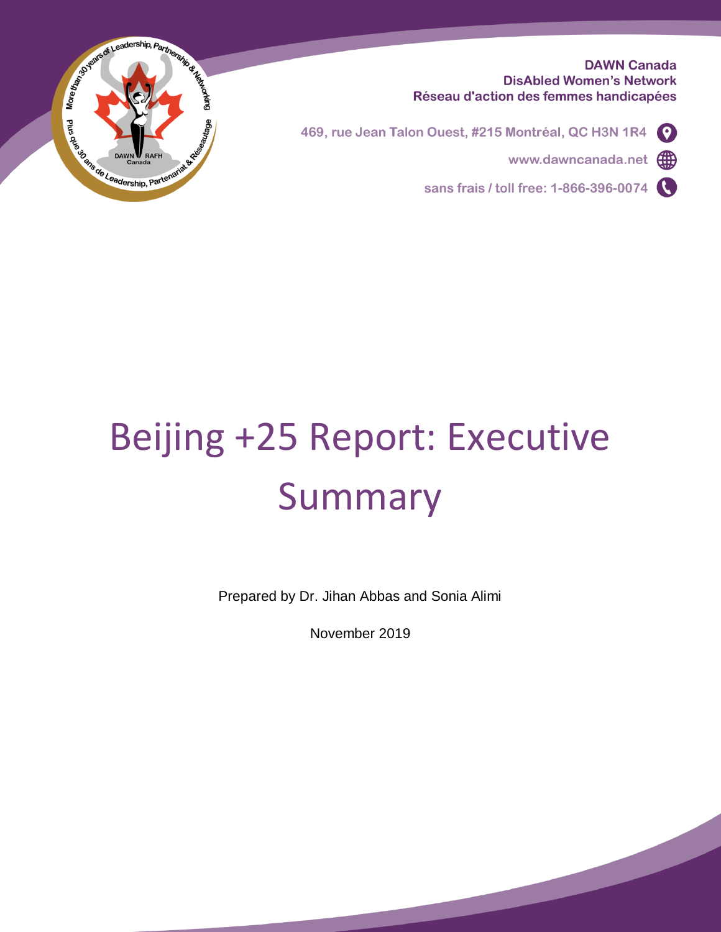**DAWN Canada DisAbled Women's Network** Réseau d'action des femmes handicapées



 $\bullet$ 469, rue Jean Talon Ouest, #215 Montréal, QC H3N 1R4

www.dawncanada.net

sans frais / toll free: 1-866-396-0074

# Beijing +25 Report: Executive Summary

Prepared by Dr. Jihan Abbas and Sonia Alimi

November 2019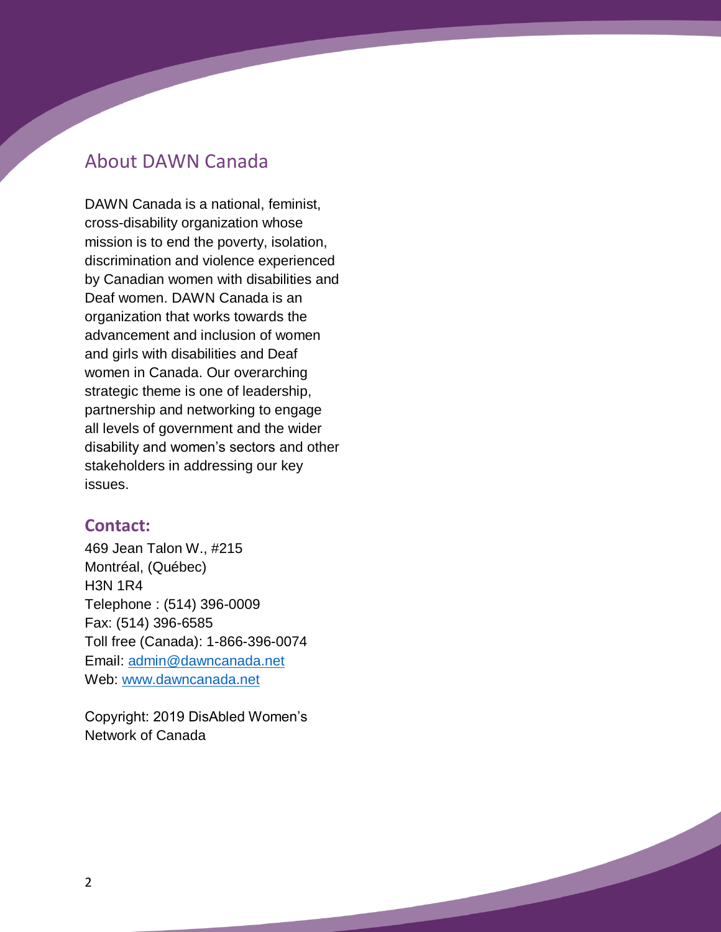#### About DAWN Canada

DAWN Canada is a national, feminist, cross-disability organization whose mission is to end the poverty, isolation, discrimination and violence experienced by Canadian women with disabilities and Deaf women. DAWN Canada is an organization that works towards the advancement and inclusion of women and girls with disabilities and Deaf women in Canada. Our overarching strategic theme is one of leadership, partnership and networking to engage all levels of government and the wider disability and women's sectors and other stakeholders in addressing our key issues.

#### **Contact:**

469 Jean Talon W., #215 Montréal, (Québec) H3N 1R4 Telephone : (514) 396-0009 Fax: (514) 396-6585 Toll free (Canada): 1-866-396-0074 Email: [admin@dawncanada.net](mailto:admin@dawncanada.net) Web: [www.dawncanada.net](file:///C:/Users/Client/www.dawncanada.net)

Copyright: 2019 DisAbled Women's Network of Canada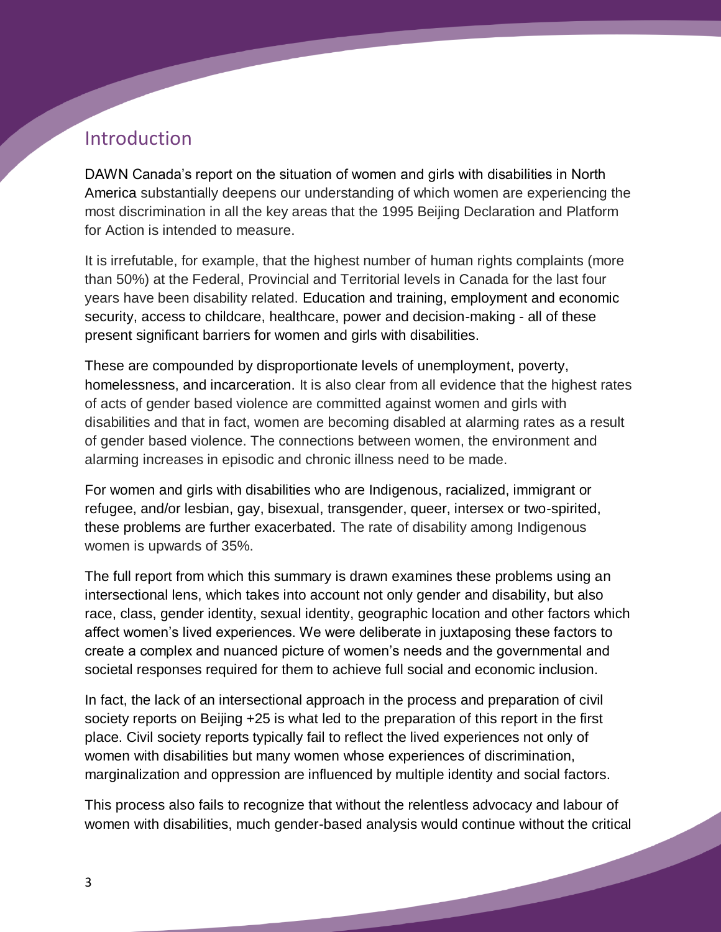#### Introduction

DAWN Canada's report on the situation of women and girls with disabilities in North America substantially deepens our understanding of which women are experiencing the most discrimination in all the key areas that the 1995 Beijing Declaration and Platform for Action is intended to measure.

It is irrefutable, for example, that the highest number of human rights complaints (more than 50%) at the Federal, Provincial and Territorial levels in Canada for the last four years have been disability related. Education and training, employment and economic security, access to childcare, healthcare, power and decision-making - all of these present significant barriers for women and girls with disabilities.

These are compounded by disproportionate levels of unemployment, poverty, homelessness, and incarceration. It is also clear from all evidence that the highest rates of acts of gender based violence are committed against women and girls with disabilities and that in fact, women are becoming disabled at alarming rates as a result of gender based violence. The connections between women, the environment and alarming increases in episodic and chronic illness need to be made.

For women and girls with disabilities who are Indigenous, racialized, immigrant or refugee, and/or lesbian, gay, bisexual, transgender, queer, intersex or two-spirited, these problems are further exacerbated. The rate of disability among Indigenous women is upwards of 35%.

The full report from which this summary is drawn examines these problems using an intersectional lens, which takes into account not only gender and disability, but also race, class, gender identity, sexual identity, geographic location and other factors which affect women's lived experiences. We were deliberate in juxtaposing these factors to create a complex and nuanced picture of women's needs and the governmental and societal responses required for them to achieve full social and economic inclusion.

In fact, the lack of an intersectional approach in the process and preparation of civil society reports on Beijing +25 is what led to the preparation of this report in the first place. Civil society reports typically fail to reflect the lived experiences not only of women with disabilities but many women whose experiences of discrimination, marginalization and oppression are influenced by multiple identity and social factors.

This process also fails to recognize that without the relentless advocacy and labour of women with disabilities, much gender-based analysis would continue without the critical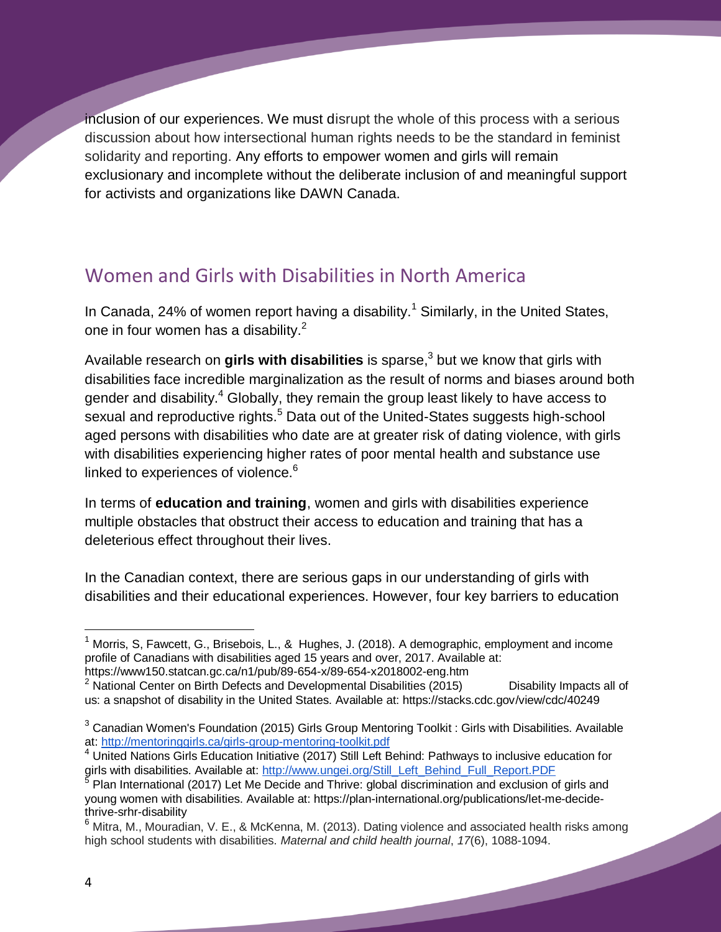inclusion of our experiences. We must disrupt the whole of this process with a serious discussion about how intersectional human rights needs to be the standard in feminist solidarity and reporting. Any efforts to empower women and girls will remain exclusionary and incomplete without the deliberate inclusion of and meaningful support for activists and organizations like DAWN Canada.

## Women and Girls with Disabilities in North America

In Canada, 24% of women report having a disability.<sup>1</sup> Similarly, in the United States, one in four women has a disability.<sup>2</sup>

Available research on **girls with disabilities** is sparse,<sup>3</sup> but we know that girls with disabilities face incredible marginalization as the result of norms and biases around both gender and disability.<sup>4</sup> Globally, they remain the group least likely to have access to sexual and reproductive rights.<sup>5</sup> Data out of the United-States suggests high-school aged persons with disabilities who date are at greater risk of dating violence, with girls with disabilities experiencing higher rates of poor mental health and substance use linked to experiences of violence.<sup>6</sup>

In terms of **education and training**, women and girls with disabilities experience multiple obstacles that obstruct their access to education and training that has a deleterious effect throughout their lives.

In the Canadian context, there are serious gaps in our understanding of girls with disabilities and their educational experiences. However, four key barriers to education

 $\overline{a}$ <sup>1</sup> Morris, S, Fawcett, G., Brisebois, L., & Hughes, J. (2018). A demographic, employment and income profile of Canadians with disabilities aged 15 years and over, 2017. Available at: https://www150.statcan.gc.ca/n1/pub/89-654-x/89-654-x2018002-eng.htm

 $2$  National Center on Birth Defects and Developmental Disabilities (2015) Disability Impacts all of us: a snapshot of disability in the United States. Available at: https://stacks.cdc.gov/view/cdc/40249

 $3$  Canadian Women's Foundation (2015) Girls Group Mentoring Toolkit: Girls with Disabilities. Available at:<http://mentoringgirls.ca/girls-group-mentoring-toolkit.pdf>

<sup>4</sup> United Nations Girls Education Initiative (2017) Still Left Behind: Pathways to inclusive education for girls with disabilities. Available at: [http://www.ungei.org/Still\\_Left\\_Behind\\_Full\\_Report.PDF](http://www.ungei.org/Still_Left_Behind_Full_Report.PDF)

<sup>5</sup> Plan International (2017) Let Me Decide and Thrive: global discrimination and exclusion of girls and young women with disabilities. Available at: https://plan-international.org/publications/let-me-decidethrive-srhr-disability

 $<sup>6</sup>$  Mitra, M., Mouradian, V. E., & McKenna, M. (2013). Dating violence and associated health risks among</sup> high school students with disabilities. *Maternal and child health journal*, *17*(6), 1088-1094.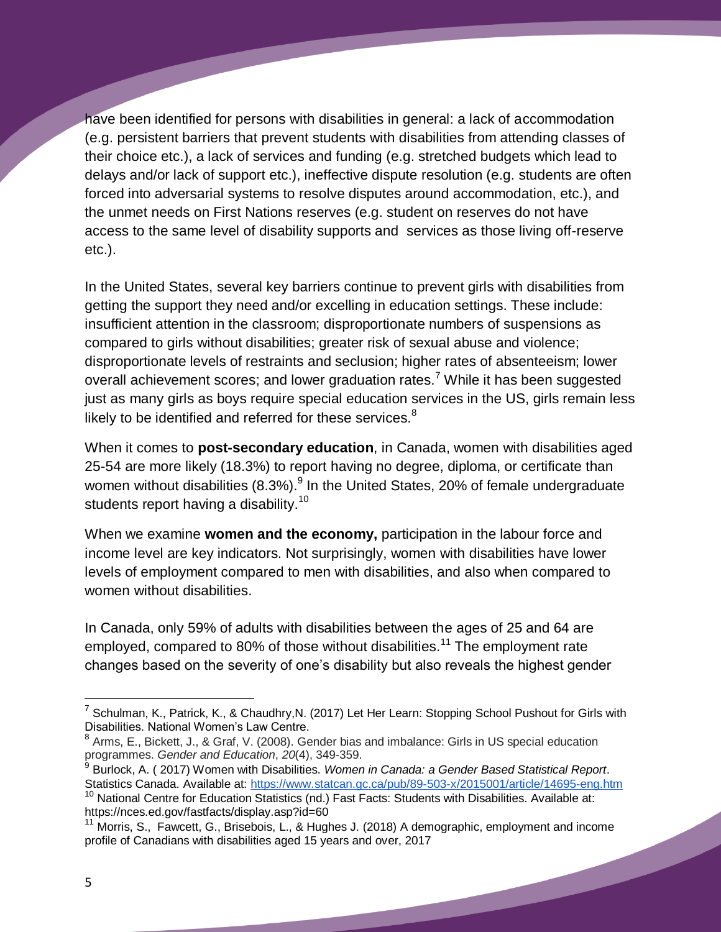have been identified for persons with disabilities in general: a lack of [accommodation](https://docs.google.com/document/d/1KYZ_UGoJ2wL2dxyLd226mHGkZNsbw9ucnc-2ukcQ1AU/edit#heading=h.1a0s2n2b0ot4) (e.g. persistent barriers that prevent students with disabilities from attending classes of their choice etc.), a lack of services and funding (e.g. stretched budgets which lead to delays and/or lack of support etc.), ineffective dispute resolution (e.g. students are often forced into adversarial systems to resolve disputes around accommodation, etc.), and the unmet needs on First Nations reserves (e.g. student on reserves do not have access to the same level of disability supports and services as those living off-reserve etc.).

In the United States, several key barriers continue to prevent girls with disabilities from getting the support they need and/or excelling in education settings. These include: insufficient attention in the classroom; disproportionate numbers of suspensions as compared to girls without disabilities; greater risk of sexual abuse and violence; disproportionate levels of restraints and seclusion; higher rates of absenteeism; lower overall achievement scores; and lower graduation rates.<sup>7</sup> While it has been suggested just as many girls as boys require special education services in the US, girls remain less likely to be identified and referred for these services. $8$ 

When it comes to **post-secondary education**, in Canada, women with disabilities aged 25-54 are more likely (18.3%) to report having no degree, diploma, or certificate than women without disabilities (8.3%).<sup>9</sup> In the United States, 20% of female undergraduate students report having a disability.<sup>10</sup>

When we examine **[women and the economy,](https://docs.google.com/document/d/1KYZ_UGoJ2wL2dxyLd226mHGkZNsbw9ucnc-2ukcQ1AU/edit#heading=h.xhtj34tbigjf)** participation in the labour force and income level are key indicators. Not surprisingly, women with disabilities have lower levels of employment compared to men with disabilities, and also when compared to women without disabilities.

In Canada, only 59% of adults with disabilities between the ages of 25 and 64 are employed, compared to 80% of those without disabilities.<sup>11</sup> The employment rate changes based on the severity of one's disability but also reveals the highest gender

<sup>&</sup>lt;sup>7</sup> Schulman, K., Patrick, K., & Chaudhry, N. (2017) Let Her Learn: Stopping School Pushout for Girls with Disabilities. National Women's Law Centre.

<sup>&</sup>lt;sup>8</sup> Arms, E., Bickett, J., & Graf, V. (2008). Gender bias and imbalance: Girls in US special education programmes. *Gender and Education*, *20*(4), 349-359.

<sup>&</sup>lt;sup>9</sup> Burlock, A. ( 2017) Women with Disabilities. *Women in Canada: a Gender Based Statistical Report*. Statistics Canada. Available at:<https://www.statcan.gc.ca/pub/89-503-x/2015001/article/14695-eng.htm>

 $10$  National Centre for Education Statistics (nd.) Fast Facts: Students with Disabilities. Available at: https://nces.ed.gov/fastfacts/display.asp?id=60

 $11$  Morris, S., Fawcett, G., Brisebois, L., & Hughes J. (2018) A demographic, employment and income profile of Canadians with disabilities aged 15 years and over, 2017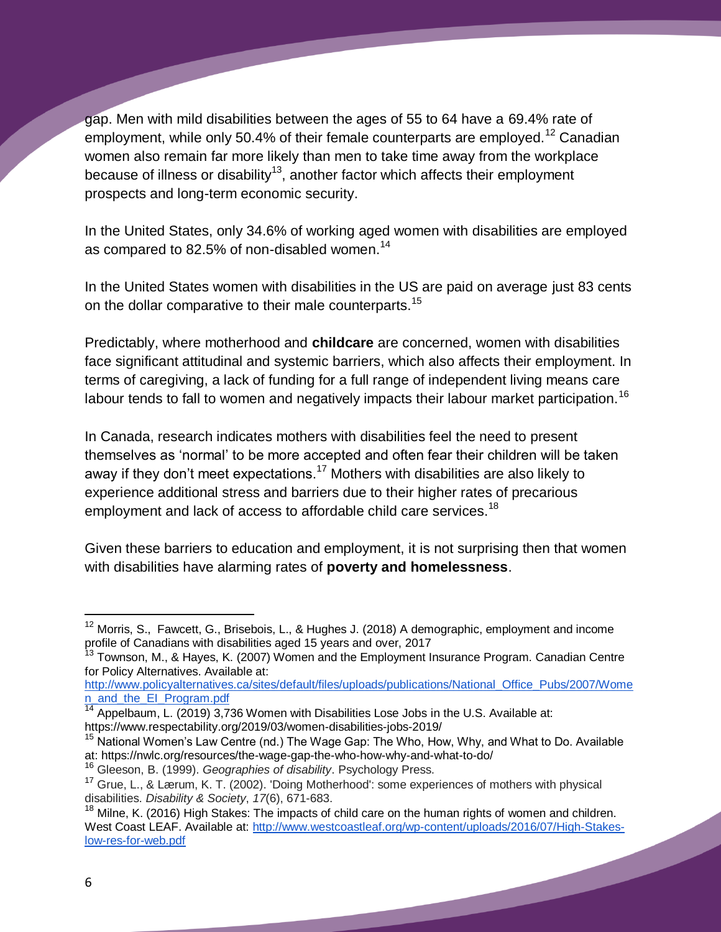gap. Men with mild disabilities between the ages of 55 to 64 have a 69.4% rate of employment, while only 50.4% of their female counterparts are employed.<sup>12</sup> Canadian women also remain far more likely than men to take time away from the workplace because of illness or disability<sup>13</sup>, another factor which affects their employment prospects and long-term economic security.

In the United States, only 34.6% of working aged women with disabilities are employed as compared to 82.5% of non-disabled women.<sup>14</sup>

In the United States women with disabilities in the US are paid on average just 83 cents on the dollar comparative to their male counterparts.<sup>15</sup>

Predictably, where motherhood and **childcare** are concerned, women with disabilities face significant attitudinal and systemic barriers, which also affects their employment. In terms of caregiving, a lack of funding for a full range of independent living means care labour tends to fall to women and negatively impacts their labour market participation.<sup>16</sup>

In Canada, research indicates mothers with disabilities feel the need to present themselves as 'normal' to be more accepted and often fear their children will be taken away if they don't meet expectations.<sup>17</sup> Mothers with disabilities are also likely to experience additional stress and barriers due to their higher rates of precarious employment and lack of access to affordable child care services.<sup>18</sup>

Given these barriers to education and employment, it is not surprising then that women with disabilities have alarming rates of **poverty and homelessness**.

 $12$  Morris, S., Fawcett, G., Brisebois, L., & Hughes J. (2018) A demographic, employment and income profile of Canadians with disabilities aged 15 years and over, 2017

<sup>&</sup>lt;sup>13</sup> Townson, M., & Hayes, K. (2007) Women and the Employment Insurance Program. Canadian Centre for Policy Alternatives. Available at:

[http://www.policyalternatives.ca/sites/default/files/uploads/publications/National\\_Office\\_Pubs/2007/Wome](http://www.policyalternatives.ca/sites/default/files/uploads/publications/National_Office_Pubs/2007/Women_and_the_EI_Program.pdf) [n\\_and\\_the\\_EI\\_Program.pdf](http://www.policyalternatives.ca/sites/default/files/uploads/publications/National_Office_Pubs/2007/Women_and_the_EI_Program.pdf)

 $14$  Appelbaum, L. (2019) 3,736 Women with Disabilities Lose Jobs in the U.S. Available at: https://www.respectability.org/2019/03/women-disabilities-jobs-2019/

 $15$  National Women's Law Centre (nd.) The Wage Gap: The Who, How, Why, and What to Do. Available at: https://nwlc.org/resources/the-wage-gap-the-who-how-why-and-what-to-do/

<sup>16</sup> Gleeson, B. (1999). *Geographies of disability*. Psychology Press.

<sup>17</sup> Grue, L., & Lærum, K. T. (2002). 'Doing Motherhood': some experiences of mothers with physical disabilities. *Disability & Society*, *17*(6), 671-683.

<sup>&</sup>lt;sup>18</sup> Milne, K. (2016) High Stakes: The impacts of child care on the human rights of women and children. West Coast LEAF. Available at: [http://www.westcoastleaf.org/wp-content/uploads/2016/07/High-Stakes](http://www.westcoastleaf.org/wp-content/uploads/2016/07/High-Stakes-low-res-for-web.pdf)[low-res-for-web.pdf](http://www.westcoastleaf.org/wp-content/uploads/2016/07/High-Stakes-low-res-for-web.pdf)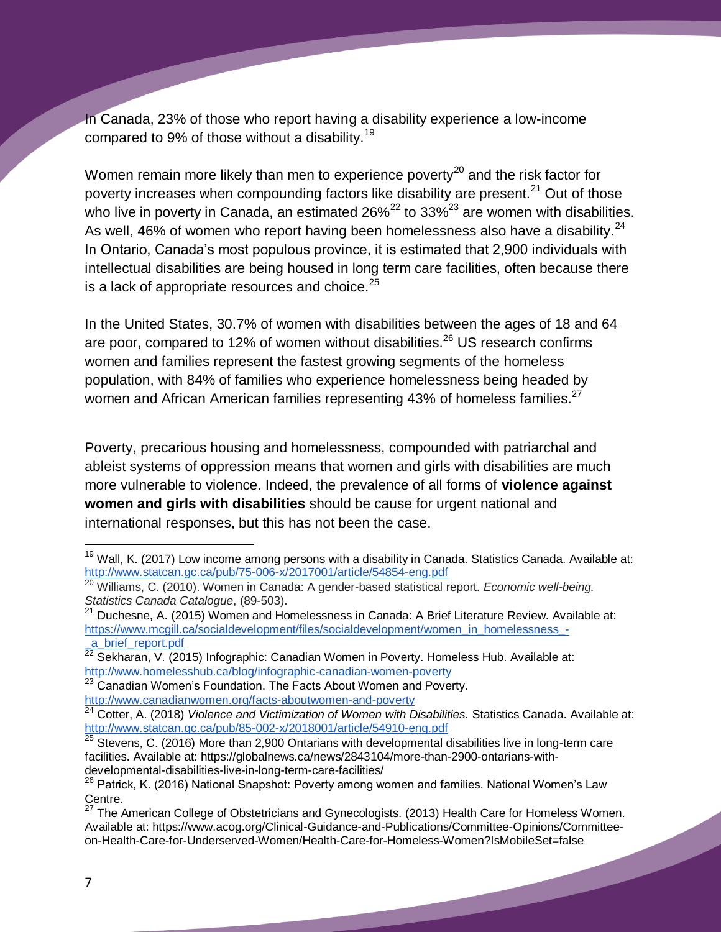In Canada, 23% of those who report having a disability experience a low-income compared to 9% of those without a disability.<sup>19</sup>

Women remain more likely than men to experience poverty<sup>20</sup> and the risk factor for poverty increases when compounding factors like disability are present.<sup>21</sup> Out of those who live in poverty in Canada, an estimated  $26\%^{22}$  to  $33\%^{23}$  are women with disabilities. As well, 46% of women who report having been homelessness also have a disability.<sup>24</sup> In Ontario, Canada's most populous province, it is estimated that 2,900 individuals with intellectual disabilities are being housed in long term care facilities, often because there is a lack of appropriate resources and choice. $25$ 

In the United States, 30.7% of women with disabilities between the ages of 18 and 64 are poor, compared to 12% of women without disabilities.<sup>26</sup> US research confirms women and families represent the fastest growing segments of the homeless population, with 84% of families who experience homelessness being headed by women and African American families representing 43% of homeless families.<sup>27</sup>

Poverty, precarious housing and homelessness, compounded with patriarchal and ableist systems of oppression means that women and girls with disabilities are much more vulnerable to violence. Indeed, the prevalence of all forms of **violence against women and girls with disabilities** should be cause for urgent national and international responses, but this has not been the case.

 $19$  Wall, K. (2017) Low income among persons with a disability in Canada. Statistics Canada. Available at: <http://www.statcan.gc.ca/pub/75-006-x/2017001/article/54854-eng.pdf>

<sup>20</sup> Williams, C. (2010). Women in Canada: A gender-based statistical report. *Economic well-being. Statistics Canada Catalogue*, (89-503).

<sup>&</sup>lt;sup>21</sup> Duchesne, A. (2015) Women and Homelessness in Canada: A Brief Literature Review. Available at: [https://www.mcgill.ca/socialdevelopment/files/socialdevelopment/women\\_in\\_homelessness\\_-](https://www.mcgill.ca/socialdevelopment/files/socialdevelopment/women_in_homelessness_-_a_brief_report.pdf) [\\_a\\_brief\\_report.pdf](https://www.mcgill.ca/socialdevelopment/files/socialdevelopment/women_in_homelessness_-_a_brief_report.pdf) 

<sup>22</sup> Sekharan, V. (2015) Infographic: Canadian Women in Poverty. Homeless Hub. Available at: <http://www.homelesshub.ca/blog/infographic-canadian-women-poverty>

<sup>&</sup>lt;sup>23</sup> Canadian Women's Foundation. The Facts About Women and Poverty. <http://www.canadianwomen.org/facts-aboutwomen-and-poverty>

<sup>24</sup> Cotter, A. (2018) *Violence and Victimization of Women with Disabilities.* Statistics Canada. Available at: <http://www.statcan.gc.ca/pub/85-002-x/2018001/article/54910-eng.pdf>

 $^{25}$  Stevens, C. (2016) More than 2,900 Ontarians with developmental disabilities live in long-term care facilities. Available at: https://globalnews.ca/news/2843104/more-than-2900-ontarians-withdevelopmental-disabilities-live-in-long-term-care-facilities/

<sup>&</sup>lt;sup>26</sup> Patrick, K. (2016) National Snapshot: Poverty among women and families. National Women's Law Centre.

<sup>27</sup> The American College of Obstetricians and Gynecologists. (2013) Health Care for Homeless Women. Available at: https://www.acog.org/Clinical-Guidance-and-Publications/Committee-Opinions/Committeeon-Health-Care-for-Underserved-Women/Health-Care-for-Homeless-Women?IsMobileSet=false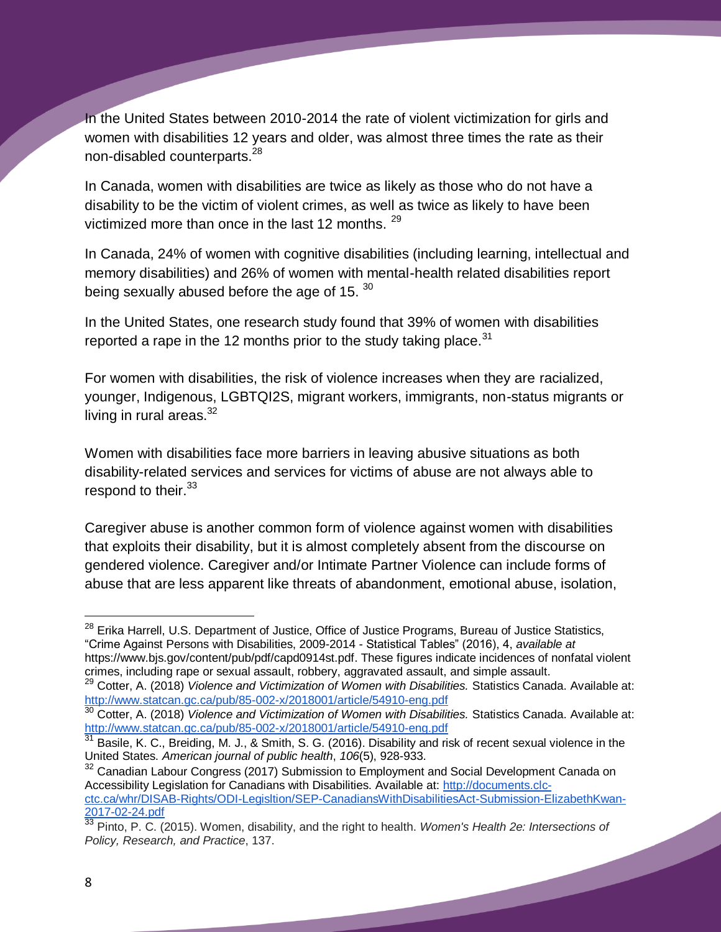In the United States between 2010-2014 the rate of violent victimization for girls and women with disabilities 12 years and older, was almost three times the rate as their non-disabled counterparts.<sup>28</sup>

In Canada, women with disabilities are twice as likely as those who do not have a disability to be the victim of violent crimes, as well as twice as likely to have been victimized more than once in the last 12 months. <sup>29</sup>

In Canada, 24% of women with cognitive disabilities (including learning, intellectual and memory disabilities) and 26% of women with mental-health related disabilities report being sexually abused before the age of 15. 30

In the United States, one research study found that 39% of women with disabilities reported a rape in the 12 months prior to the study taking place. $31$ 

For women with disabilities, the risk of violence increases when they are racialized, younger, Indigenous, LGBTQI2S, migrant workers, immigrants, non-status migrants or living in rural areas. $32$ 

Women with disabilities face more barriers in leaving abusive situations as both disability-related services and services for victims of abuse are not always able to respond to their.<sup>33</sup>

Caregiver abuse is another common form of violence against women with disabilities that exploits their disability, but it is almost completely absent from the discourse on gendered violence. Caregiver and/or Intimate Partner Violence can include forms of abuse that are less apparent like threats of abandonment, emotional abuse, isolation,

<sup>32</sup> Canadian Labour Congress (2017) Submission to Employment and Social Development Canada on Accessibility Legislation for Canadians with Disabilities. Available at: [http://documents.clc-](http://documents.clc-ctc.ca/whr/DISAB-Rights/ODI-Legisltion/SEP-CanadiansWithDisabilitiesAct-Submission-ElizabethKwan-2017-02-24.pdf)

<sup>&</sup>lt;sup>28</sup> Erika Harrell, U.S. Department of Justice, Office of Justice Programs, Bureau of Justice Statistics, "Crime Against Persons with Disabilities, 2009-2014 - Statistical Tables" (2016), 4, *available at*  https://www.bjs.gov/content/pub/pdf/capd0914st.pdf. These figures indicate incidences of nonfatal violent crimes, including rape or sexual assault, robbery, aggravated assault, and simple assault.

<sup>29</sup> Cotter, A. (2018) *Violence and Victimization of Women with Disabilities.* Statistics Canada. Available at: <http://www.statcan.gc.ca/pub/85-002-x/2018001/article/54910-eng.pdf>

<sup>30</sup> Cotter, A. (2018) *Violence and Victimization of Women with Disabilities.* Statistics Canada. Available at: <http://www.statcan.gc.ca/pub/85-002-x/2018001/article/54910-eng.pdf>

 $31$  Basile, K. C., Breiding, M. J., & Smith, S. G. (2016). Disability and risk of recent sexual violence in the United States. *American journal of public health*, *106*(5), 928-933.

[ctc.ca/whr/DISAB-Rights/ODI-Legisltion/SEP-CanadiansWithDisabilitiesAct-Submission-ElizabethKwan-](http://documents.clc-ctc.ca/whr/DISAB-Rights/ODI-Legisltion/SEP-CanadiansWithDisabilitiesAct-Submission-ElizabethKwan-2017-02-24.pdf)[2017-02-24.pdf](http://documents.clc-ctc.ca/whr/DISAB-Rights/ODI-Legisltion/SEP-CanadiansWithDisabilitiesAct-Submission-ElizabethKwan-2017-02-24.pdf)

<sup>33</sup> Pinto, P. C. (2015). Women, disability, and the right to health. *Women's Health 2e: Intersections of Policy, Research, and Practice*, 137.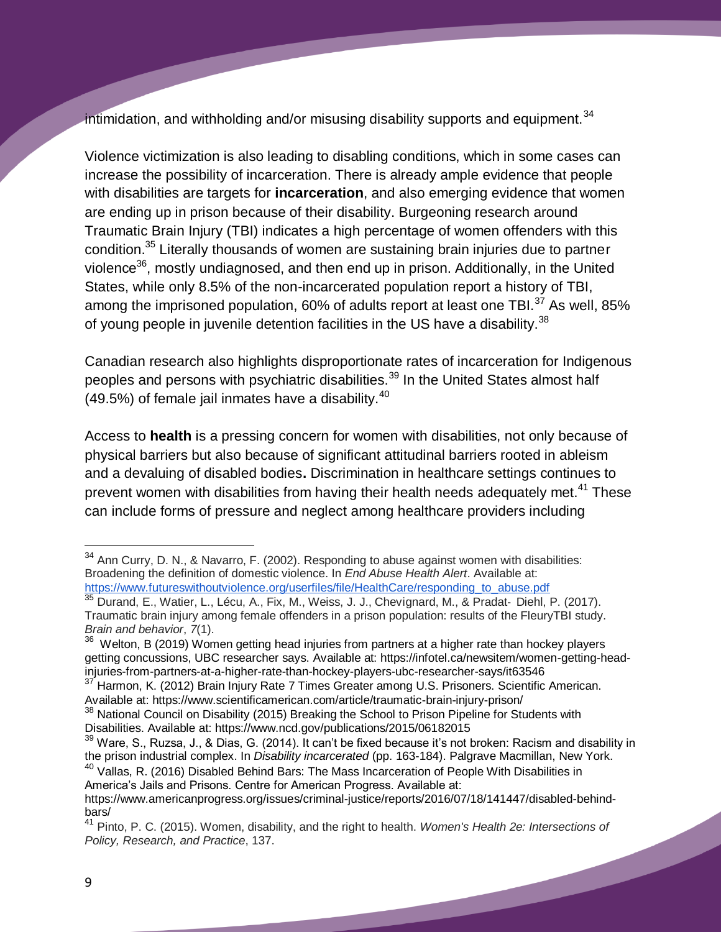$i$ ntimidation, and withholding and/or misusing disability supports and equipment.<sup>34</sup>

Violence victimization is also leading to disabling conditions, which in some cases can increase the possibility of incarceration. There is already ample evidence that people with disabilities are targets for **incarceration**, and also emerging evidence that women are ending up in prison because of their disability. Burgeoning research around Traumatic Brain Injury (TBI) indicates a high percentage of women offenders with this condition.<sup>35</sup> Literally thousands of women are sustaining brain injuries due to partner violence<sup>36</sup>, mostly undiagnosed, and then end up in prison. Additionally, in the United States, while only 8.5% of the non-incarcerated population report a history of TBI, among the imprisoned population, 60% of adults report at least one TBI.<sup>37</sup> As well, 85% of young people in juvenile detention facilities in the US have a disability.<sup>38</sup>

Canadian research also highlights disproportionate rates of incarceration for Indigenous peoples and persons with psychiatric disabilities.<sup>39</sup> In the United States almost half (49.5%) of female jail inmates have a disability.<sup>40</sup>

Access to **health** [is a pressing concern for women with disabilities, not only because of](https://docs.google.com/document/d/1KYZ_UGoJ2wL2dxyLd226mHGkZNsbw9ucnc-2ukcQ1AU/edit#heading=h.ja172v2i59lx)  [physical barriers but also because of significant attitudinal barriers rooted in ableism](https://docs.google.com/document/d/1KYZ_UGoJ2wL2dxyLd226mHGkZNsbw9ucnc-2ukcQ1AU/edit#heading=h.ja172v2i59lx)  [and a devaluing of disabled bodies](https://docs.google.com/document/d/1KYZ_UGoJ2wL2dxyLd226mHGkZNsbw9ucnc-2ukcQ1AU/edit#heading=h.ja172v2i59lx)**.** Discrimination in healthcare settings continues to prevent women with disabilities from having their health needs adequately met.<sup>41</sup> These can include forms of pressure and neglect among healthcare providers including

 $34$  Ann Curry, D. N., & Navarro, F. (2002). Responding to abuse against women with disabilities: Broadening the definition of domestic violence. In *End Abuse Health Alert*. Available at: [https://www.futureswithoutviolence.org/userfiles/file/HealthCare/responding\\_to\\_abuse.pdf](https://www.futureswithoutviolence.org/userfiles/file/HealthCare/responding_to_abuse.pdf)

 $35$  Durand, E., Watier, L., Lécu, A., Fix, M., Weiss, J. J., Chevignard, M., & Pradat- Diehl, P. (2017). Traumatic brain injury among female offenders in a prison population: results of the FleuryTBI study. *Brain and behavior*, *7*(1).

 $36$  Welton, B (2019) Women getting head injuries from partners at a higher rate than hockey players getting concussions, UBC researcher says. Available at: https://infotel.ca/newsitem/women-getting-headinjuries-from-partners-at-a-higher-rate-than-hockey-players-ubc-researcher-says/it63546

 $37$  Harmon, K. (2012) Brain Injury Rate 7 Times Greater among U.S. Prisoners. Scientific American. Available at: https://www.scientificamerican.com/article/traumatic-brain-injury-prison/

<sup>&</sup>lt;sup>38</sup> National Council on Disability (2015) Breaking the School to Prison Pipeline for Students with Disabilities. Available at: https://www.ncd.gov/publications/2015/06182015

<sup>&</sup>lt;sup>39</sup> Ware. S., Ruzsa, J., & Dias, G. (2014). It can't be fixed because it's not broken: Racism and disability in the prison industrial complex. In *Disability incarcerated* (pp. 163-184). Palgrave Macmillan, New York. <sup>40</sup> Vallas, R. (2016) Disabled Behind Bars: The Mass Incarceration of People With Disabilities in America's Jails and Prisons. Centre for American Progress. Available at:

https://www.americanprogress.org/issues/criminal-justice/reports/2016/07/18/141447/disabled-behindbars/

<sup>41</sup> Pinto, P. C. (2015). Women, disability, and the right to health. *Women's Health 2e: Intersections of Policy, Research, and Practice*, 137.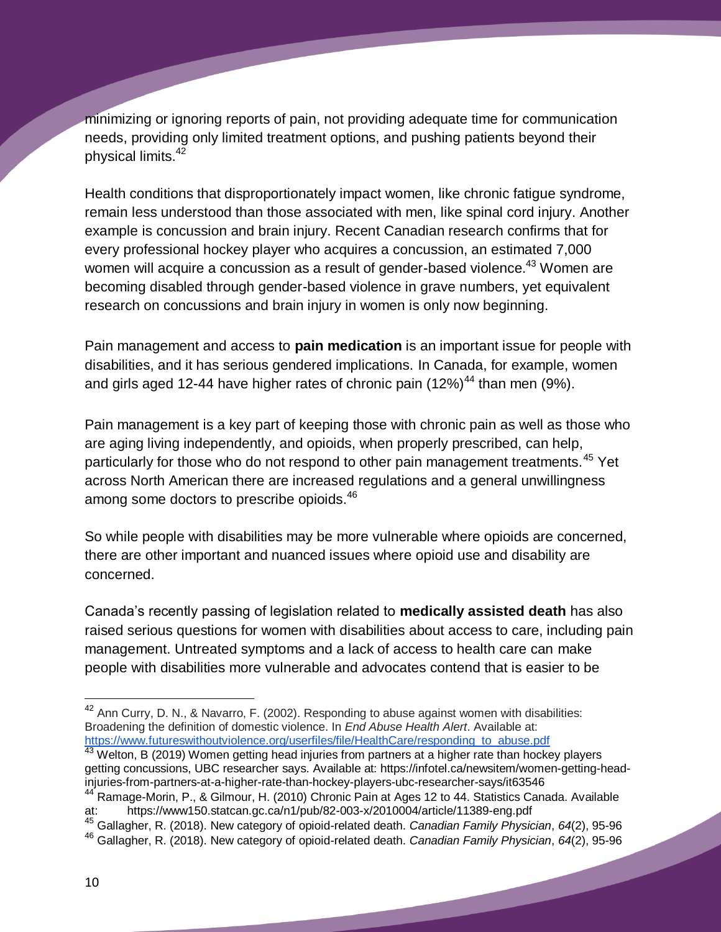minimizing or ignoring reports of pain, not providing adequate time for communication needs, providing only limited treatment options, and pushing patients beyond their physical limits.<sup>42</sup>

Health conditions that disproportionately impact women, like chronic fatigue syndrome, remain less understood than those associated with men, like spinal cord injury. Another example is concussion and brain injury. Recent Canadian research confirms that for every professional hockey player who acquires a concussion, an estimated 7,000 women will acquire a concussion as a result of gender-based violence.<sup>43</sup> Women are becoming disabled through gender-based violence in grave numbers, yet equivalent research on concussions and brain injury in women is only now beginning.

Pain management and access to **pain medication** [is an important issue for people with](https://docs.google.com/document/d/1KYZ_UGoJ2wL2dxyLd226mHGkZNsbw9ucnc-2ukcQ1AU/edit#heading=h.1tz9erco1ajq)  [disabilities, and it has serious gendered implications.](https://docs.google.com/document/d/1KYZ_UGoJ2wL2dxyLd226mHGkZNsbw9ucnc-2ukcQ1AU/edit#heading=h.1tz9erco1ajq) In Canada, for example, women and girls aged 12-44 have higher rates of chronic pain  $(12\%)^{44}$  than men (9%).

Pain management is a key part of keeping those with chronic pain as well as those who are aging living independently, and opioids, when properly prescribed, can help, particularly for those who do not respond to other pain management treatments.<sup>45</sup> Yet across North American there are increased regulations and a general unwillingness among some doctors to prescribe opioids.<sup>46</sup>

So while people with disabilities may be more vulnerable where opioids are concerned, there are other important and nuanced issues where opioid use and disability are concerned.

Canada's recently passing of legislation related to **medically assisted death** has also raised serious questions for women with disabilities about access to care, including pain management. Untreated symptoms and a lack of access to health care can make people with disabilities more vulnerable and advocates contend that is easier to be

 $42$  Ann Curry, D. N., & Navarro, F. (2002). Responding to abuse against women with disabilities: Broadening the definition of domestic violence. In *End Abuse Health Alert*. Available at: [https://www.futureswithoutviolence.org/userfiles/file/HealthCare/responding\\_to\\_abuse.pdf](https://www.futureswithoutviolence.org/userfiles/file/HealthCare/responding_to_abuse.pdf)

<sup>&</sup>lt;sup>43</sup> Welton, B (2019) Women getting head injuries from partners at a higher rate than hockey players getting concussions, UBC researcher says. Available at: https://infotel.ca/newsitem/women-getting-headinjuries-from-partners-at-a-higher-rate-than-hockey-players-ubc-researcher-says/it63546

<sup>&</sup>lt;sup>44</sup> Ramage-Morin, P., & Gilmour, H. (2010) Chronic Pain at Ages 12 to 44. Statistics Canada. Available at: https://www150.statcan.gc.ca/n1/pub/82-003-x/2010004/article/11389-eng.pdf

<sup>45</sup> Gallagher, R. (2018). New category of opioid-related death. *Canadian Family Physician*, *64*(2), 95-96

<sup>46</sup> Gallagher, R. (2018). New category of opioid-related death. *Canadian Family Physician*, *64*(2), 95-96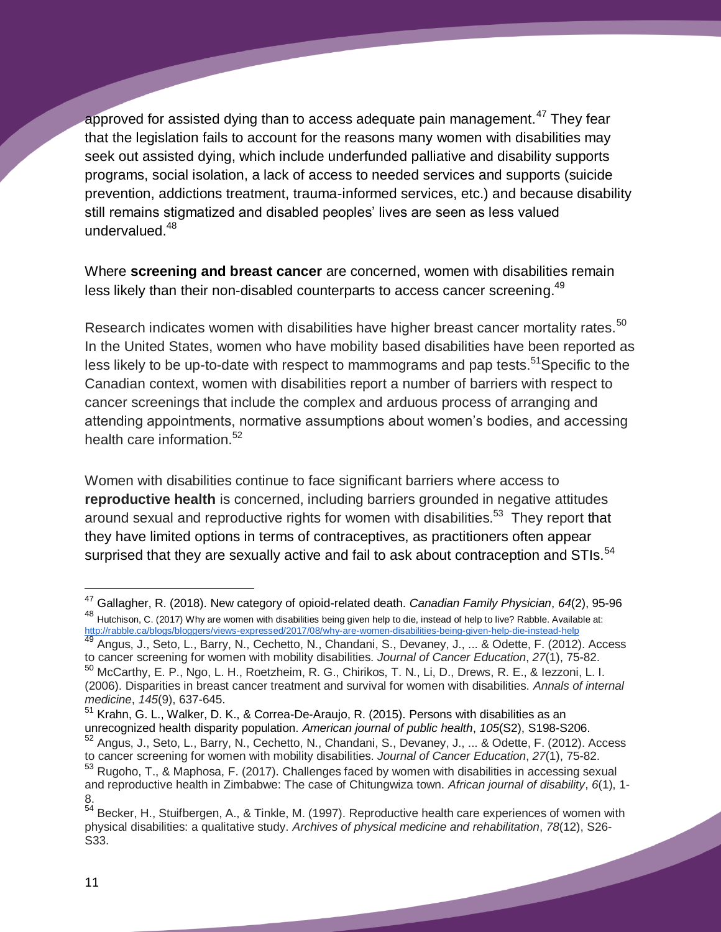approved for assisted dying than to access adequate pain management.<sup>47</sup> They fear that the legislation fails to account for the reasons many women with disabilities may seek out assisted dying, which include underfunded palliative and disability supports programs, social isolation, a lack of access to needed services and supports (suicide prevention, addictions treatment, trauma-informed services, etc.) and because disability still remains stigmatized and disabled peoples' lives are seen as less valued undervalued.<sup>48</sup>

Where **screening and breast cancer** are concerned, women with disabilities remain less likely than their non-disabled counterparts to access cancer screening.<sup>49</sup>

Research indicates women with disabilities have higher breast cancer mortality rates.<sup>50</sup> In the United States, women who have mobility based disabilities have been reported as less likely to be up-to-date with respect to mammograms and pap tests.<sup>51</sup>Specific to the Canadian context, women with disabilities report a number of barriers with respect to cancer screenings that include the complex and arduous process of arranging and attending appointments, normative assumptions about women's bodies, and accessing health care information.<sup>52</sup>

Women with disabilities continue to face significant barriers where access to **reproductive health** is concerned, including barriers grounded in negative attitudes around sexual and reproductive rights for women with disabilities.<sup>53</sup> They report that they have limited options in terms of contraceptives, as practitioners often appear surprised that they are sexually active and fail to ask about contraception and STIs.<sup>54</sup>

<sup>47</sup> Gallagher, R. (2018). New category of opioid-related death. *Canadian Family Physician*, *64*(2), 95-96 <sup>48</sup> Hutchison, C. (2017) Why are women with disabilities being given help to die, instead of help to live? Rabble. Available at:

<sup>&</sup>lt;u><http://rabble.ca/blogs/bloggers/views-expressed/2017/08/why-are-women-disabilities-being-given-help-die-instead-help><br><sup>49</sup> Angus, J., Seto, L., Barry, N., Cechetto, N., Chandani, S., Devaney, J., ... & Odette, F. (2012). A</u> to cancer screening for women with mobility disabilities. *Journal of Cancer Education*, *27*(1), 75-82.

<sup>50</sup> McCarthy, E. P., Ngo, L. H., Roetzheim, R. G., Chirikos, T. N., Li, D., Drews, R. E., & Iezzoni, L. I. (2006). Disparities in breast cancer treatment and survival for women with disabilities. *Annals of internal medicine*, *145*(9), 637-645.

<sup>51</sup> Krahn, G. L., Walker, D. K., & Correa-De-Araujo, R. (2015). Persons with disabilities as an unrecognized health disparity population. *American journal of public health*, *105*(S2), S198-S206.

<sup>52</sup> Angus, J., Seto, L., Barry, N., Cechetto, N., Chandani, S., Devaney, J., ... & Odette, F. (2012). Access to cancer screening for women with mobility disabilities. *Journal of Cancer Education*, *27*(1), 75-82.

<sup>53</sup> Rugoho, T., & Maphosa, F. (2017). Challenges faced by women with disabilities in accessing sexual and reproductive health in Zimbabwe: The case of Chitungwiza town. *African journal of disability*, *6*(1), 1- 8.

<sup>&</sup>lt;sup>54</sup> Becker, H., Stuifbergen, A., & Tinkle, M. (1997). Reproductive health care experiences of women with physical disabilities: a qualitative study. *Archives of physical medicine and rehabilitation*, *78*(12), S26- S33.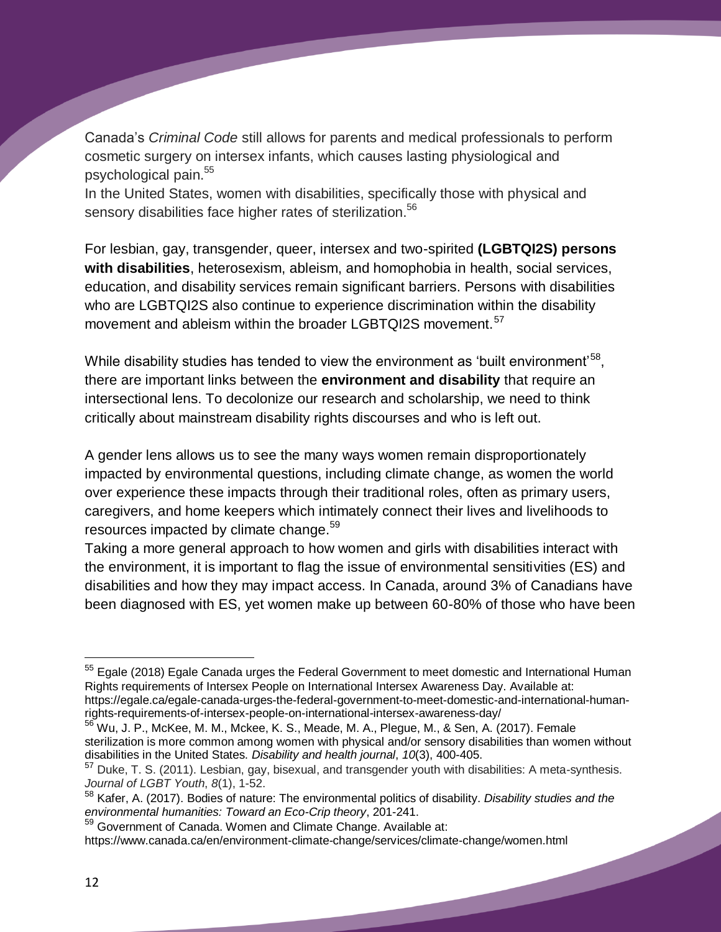Canada's *Criminal Code* still allows for parents and medical professionals to perform cosmetic surgery on intersex infants, which causes lasting physiological and psychological pain.<sup>55</sup>

In the United States, women with disabilities, specifically those with physical and sensory disabilities face higher rates of sterilization.<sup>56</sup>

For lesbian, gay, transgender, queer, intersex and two-spirited **(LGBTQI2S) persons with disabilities**, heterosexism, ableism, and homophobia in health, social services, education, and disability services remain significant barriers. Persons with disabilities who are LGBTQI2S also continue to experience discrimination within the disability movement and ableism within the broader LGBTQI2S movement.<sup>57</sup>

While disability studies has tended to view the environment as 'built environment' $^{58},\,$ there are important links between the **environment and disability** that require an intersectional lens. To decolonize our research and scholarship, we need to think critically about mainstream disability rights discourses and who is left out.

A gender lens allows us to see the many ways women remain disproportionately impacted by environmental questions, including climate change, as women the world over experience these impacts through their traditional roles, often as primary users, caregivers, and home keepers which intimately connect their lives and livelihoods to resources impacted by climate change.<sup>59</sup>

Taking a more general approach to how women and girls with disabilities interact with the environment, it is important to flag the issue of environmental sensitivities (ES) and disabilities and how they may impact access. In Canada, around 3% of Canadians have been diagnosed with ES, yet women make up between 60-80% of those who have been

<sup>&</sup>lt;sup>55</sup> Egale (2018) Egale Canada urges the Federal Government to meet domestic and International Human Rights requirements of Intersex People on International Intersex Awareness Day. Available at: https://egale.ca/egale-canada-urges-the-federal-government-to-meet-domestic-and-international-humanrights-requirements-of-intersex-people-on-international-intersex-awareness-day/

<sup>56</sup> Wu, J. P., McKee, M. M., Mckee, K. S., Meade, M. A., Plegue, M., & Sen, A. (2017). Female sterilization is more common among women with physical and/or sensory disabilities than women without disabilities in the United States. *Disability and health journal*, *10*(3), 400-405.

<sup>&</sup>lt;sup>57</sup> Duke, T. S. (2011). Lesbian, gay, bisexual, and transgender youth with disabilities: A meta-synthesis. *Journal of LGBT Youth*, *8*(1), 1-52.

<sup>58</sup> Kafer, A. (2017). Bodies of nature: The environmental politics of disability. *Disability studies and the environmental humanities: Toward an Eco-Crip theory*, 201-241.

<sup>59</sup> Government of Canada. Women and Climate Change. Available at:

https://www.canada.ca/en/environment-climate-change/services/climate-change/women.html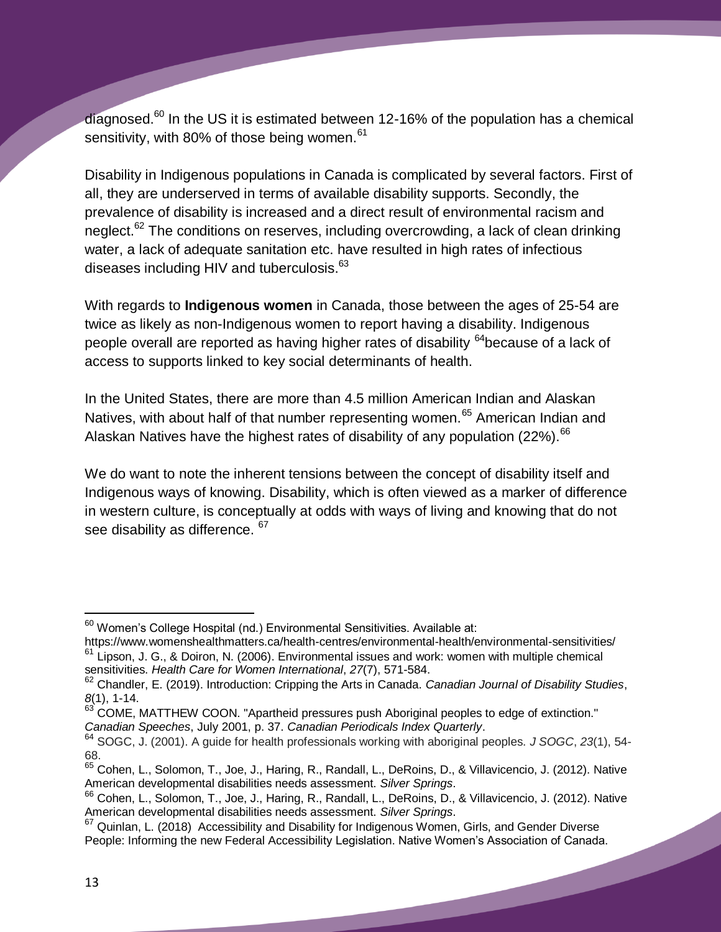$diagnosed.<sup>60</sup>$  In the US it is estimated between 12-16% of the population has a chemical sensitivity, with 80% of those being women.<sup>61</sup>

Disability in Indigenous populations in Canada is complicated by several factors. First of all, they are underserved in terms of available disability supports. Secondly, the prevalence of disability is increased and a direct result of environmental racism and neglect.<sup>62</sup> The conditions on reserves, including overcrowding, a lack of clean drinking water, a lack of adequate sanitation etc. have resulted in high rates of infectious diseases including HIV and tuberculosis.<sup>63</sup>

With regards to **Indigenous women** in Canada, those between the ages of 25-54 are twice as likely as non-Indigenous women to report having a disability. Indigenous people overall are reported as having higher rates of disability <sup>64</sup>because of a lack of access to supports linked to key social determinants of health.

In the United States, there are more than 4.5 million American Indian and Alaskan Natives, with about half of that number representing women.<sup>65</sup> American Indian and Alaskan Natives have the highest rates of disability of any population (22%).  $66$ 

We do want to note the inherent tensions between the concept of disability itself and Indigenous ways of knowing. Disability, which is often viewed as a marker of difference in western culture, is conceptually at odds with ways of living and knowing that do not see disability as difference. 67

 $60$  Women's College Hospital (nd.) Environmental Sensitivities. Available at:

https://www.womenshealthmatters.ca/health-centres/environmental-health/environmental-sensitivities/  $61$  Lipson, J. G., & Doiron, N. (2006). Environmental issues and work: women with multiple chemical sensitivities. *Health Care for Women International*, *27*(7), 571-584.

<sup>62</sup> Chandler, E. (2019). Introduction: Cripping the Arts in Canada. *Canadian Journal of Disability Studies*, *8*(1), 1-14.

<sup>63</sup> COME, MATTHEW COON. "Apartheid pressures push Aboriginal peoples to edge of extinction." *Canadian Speeches*, July 2001, p. 37. *Canadian Periodicals Index Quarterly*.

<sup>64</sup> SOGC, J. (2001). A guide for health professionals working with aboriginal peoples. *J SOGC*, *23*(1), 54- 68.

<sup>&</sup>lt;sup>65</sup> Cohen, L., Solomon, T., Joe, J., Haring, R., Randall, L., DeRoins, D., & Villavicencio, J. (2012). Native American developmental disabilities needs assessment. *Silver Springs*.

<sup>66</sup> Cohen, L., Solomon, T., Joe, J., Haring, R., Randall, L., DeRoins, D., & Villavicencio, J. (2012). Native American developmental disabilities needs assessment. *Silver Springs*.

 $67$  Quinlan, L. (2018) Accessibility and Disability for Indigenous Women, Girls, and Gender Diverse People: Informing the new Federal Accessibility Legislation. Native Women's Association of Canada.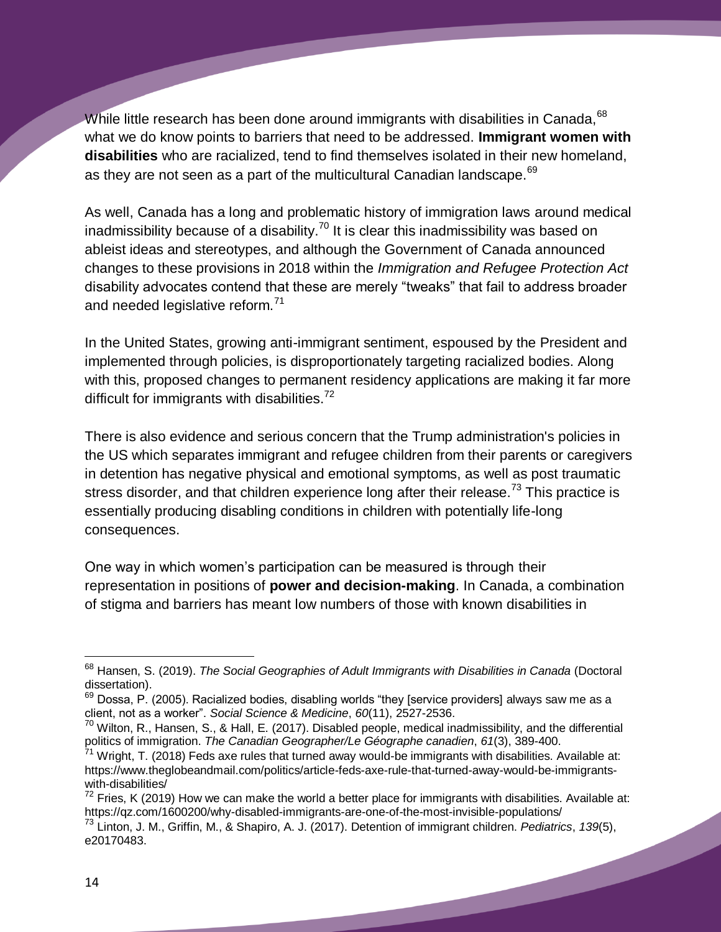While little research has been done around immigrants with disabilities in Canada, <sup>68</sup> what we do know points to barriers that need to be addressed. **Immigrant women with disabilities** who are racialized, tend to find themselves isolated in their new homeland, as they are not seen as a part of the multicultural Canadian landscape.<sup>69</sup>

As well, Canada has a long and problematic history of immigration laws around medical inadmissibility because of a disability.<sup>70</sup> It is clear this inadmissibility was based on ableist ideas and stereotypes, and although the Government of Canada announced changes to these provisions in 2018 within the *Immigration and Refugee Protection Act*  disability advocates contend that these are merely "tweaks" that fail to address broader and needed legislative reform.<sup>71</sup>

In the United States, growing anti-immigrant sentiment, espoused by the President and implemented through policies, is disproportionately targeting racialized bodies. Along with this, proposed changes to permanent residency applications are making it far more difficult for immigrants with disabilities. $72$ 

There is also evidence and serious concern that the Trump administration's policies in the US which separates immigrant and refugee children from their parents or caregivers in detention has negative physical and emotional symptoms, as well as post traumatic stress disorder, and that children experience long after their release.<sup>73</sup> This practice is essentially producing disabling conditions in children with potentially life-long consequences.

One way in which women's participation can be measured is through their representation in positions of **power and decision-making**. In Canada, a combination of stigma and barriers has meant low numbers of those with known disabilities in

<sup>68</sup> Hansen, S. (2019). *The Social Geographies of Adult Immigrants with Disabilities in Canada* (Doctoral dissertation).

 $69$  Dossa. P. (2005). Racialized bodies, disabling worlds "they [service providers] always saw me as a client, not as a worker". *Social Science & Medicine*, *60*(11), 2527-2536.

<sup>70</sup> Wilton, R., Hansen, S., & Hall, E. (2017). Disabled people, medical inadmissibility, and the differential politics of immigration. *The Canadian Geographer/Le Géographe canadien*, *61*(3), 389-400.

<sup>&</sup>lt;sup>71</sup> Wright, T. (2018) Feds axe rules that turned away would-be immigrants with disabilities. Available at: https://www.theglobeandmail.com/politics/article-feds-axe-rule-that-turned-away-would-be-immigrantswith-disabilities/

 $<sup>72</sup>$  Fries, K (2019) How we can make the world a better place for immigrants with disabilities. Available at:</sup> https://qz.com/1600200/why-disabled-immigrants-are-one-of-the-most-invisible-populations/

<sup>73</sup> Linton, J. M., Griffin, M., & Shapiro, A. J. (2017). Detention of immigrant children. *Pediatrics*, *139*(5), e20170483.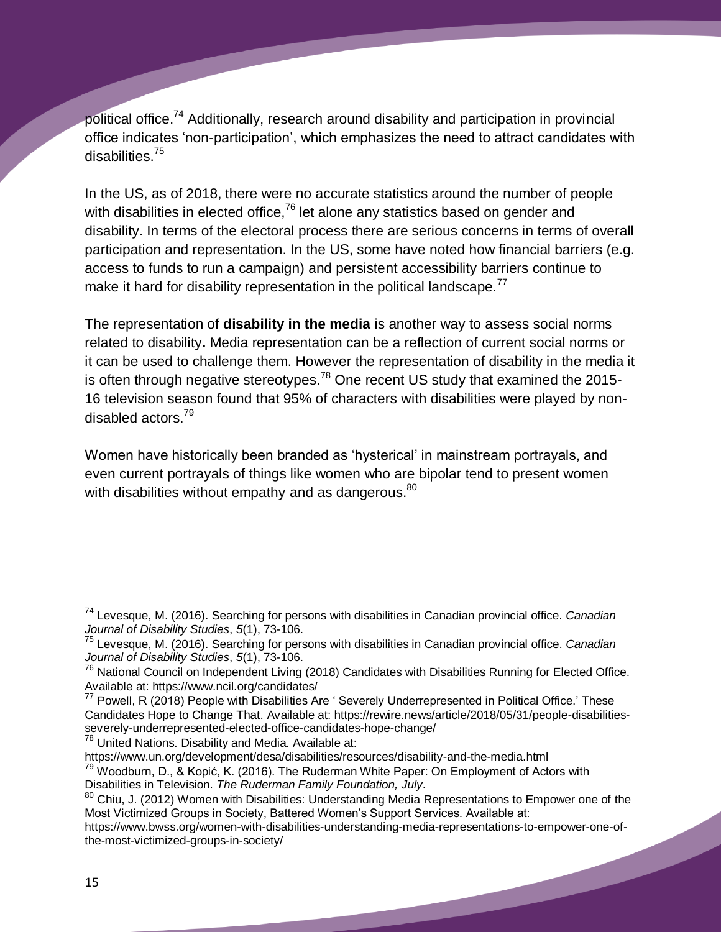political office.<sup>74</sup> Additionally, research around disability and participation in provincial office indicates 'non-participation', which emphasizes the need to attract candidates with disabilities.<sup>75</sup>

In the US, as of 2018, there were no accurate statistics around the number of people with disabilities in elected office,<sup>76</sup> let alone any statistics based on gender and disability. In terms of the electoral process there are serious concerns in terms of overall participation and representation. In the US, some have noted how financial barriers (e.g. access to funds to run a campaign) and persistent accessibility barriers continue to make it hard for disability representation in the political landscape.<sup>77</sup>

The representation of **disability in the media** is another way to assess social norms related to disability**.** Media representation can be a reflection of current social norms or it can be used to challenge them. However the representation of disability in the media it is often through negative stereotypes.<sup>78</sup> One recent US study that examined the 2015-16 television season found that 95% of characters with disabilities were played by nondisabled actors.<sup>79</sup>

Women have historically been branded as 'hysterical' in mainstream portrayals, and even current portrayals of things like women who are bipolar tend to present women with disabilities without empathy and as dangerous.<sup>80</sup>

<sup>78</sup> United Nations. Disability and Media. Available at:

 $\overline{a}$ <sup>74</sup> Levesque, M. (2016). Searching for persons with disabilities in Canadian provincial office. *Canadian Journal of Disability Studies*, *5*(1), 73-106.

<sup>75</sup> Levesque, M. (2016). Searching for persons with disabilities in Canadian provincial office. *Canadian Journal of Disability Studies*, *5*(1), 73-106.

<sup>76</sup> National Council on Independent Living (2018) Candidates with Disabilities Running for Elected Office. Available at: https://www.ncil.org/candidates/

<sup>77</sup> Powell, R (2018) People with Disabilities Are ' Severely Underrepresented in Political Office.' These Candidates Hope to Change That. Available at: https://rewire.news/article/2018/05/31/people-disabilitiesseverely-underrepresented-elected-office-candidates-hope-change/

https://www.un.org/development/desa/disabilities/resources/disability-and-the-media.html

 $79$  Woodburn, D., & Kopić, K. (2016). The Ruderman White Paper: On Employment of Actors with Disabilities in Television. *The Ruderman Family Foundation, July*.

<sup>80</sup> Chiu, J. (2012) Women with Disabilities: Understanding Media Representations to Empower one of the Most Victimized Groups in Society, Battered Women's Support Services. Available at:

https://www.bwss.org/women-with-disabilities-understanding-media-representations-to-empower-one-ofthe-most-victimized-groups-in-society/